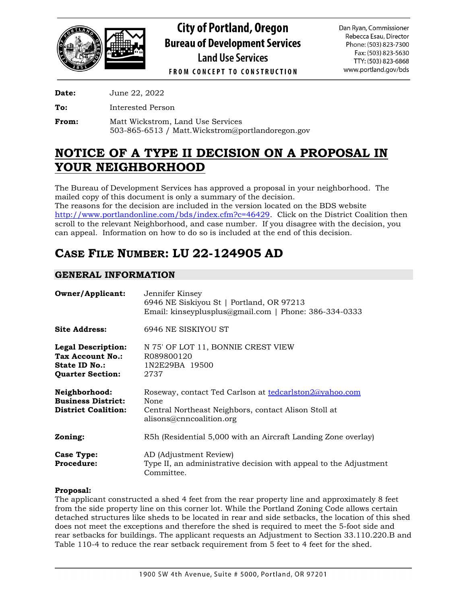

**City of Portland, Oregon Bureau of Development Services Land Use Services** 

Dan Ryan, Commissioner Rebecca Esau, Director Phone: (503) 823-7300 Fax: (503) 823-5630 TTY: (503) 823-6868 www.portland.gov/bds

**FROM CONCEPT TO CONSTRUCTION** 

**Date:** June 22, 2022

**To:** Interested Person

**From:** Matt Wickstrom, Land Use Services 503-865-6513 / Matt.Wickstrom@portlandoregon.gov

# **NOTICE OF A TYPE II DECISION ON A PROPOSAL IN YOUR NEIGHBORHOOD**

The Bureau of Development Services has approved a proposal in your neighborhood. The mailed copy of this document is only a summary of the decision. The reasons for the decision are included in the version located on the BDS website [http://www.portlandonline.com/bds/index.cfm?c=46429.](http://www.portlandonline.com/bds/index.cfm?c=46429) Click on the District Coalition then scroll to the relevant Neighborhood, and case number. If you disagree with the decision, you can appeal. Information on how to do so is included at the end of this decision.

# **CASE FILE NUMBER: LU 22-124905 AD**

# **GENERAL INFORMATION**

| <b>Owner/Applicant:</b>                                                                   | Jennifer Kinsey<br>6946 NE Siskiyou St   Portland, OR 97213<br>Email: kinseyplusplus@gmail.com   Phone: 386-334-0333                               |
|-------------------------------------------------------------------------------------------|----------------------------------------------------------------------------------------------------------------------------------------------------|
| <b>Site Address:</b>                                                                      | 6946 NE SISKIYOU ST                                                                                                                                |
| <b>Legal Description:</b><br>Tax Account No.:<br>State ID No.:<br><b>Quarter Section:</b> | N 75' OF LOT 11, BONNIE CREST VIEW<br>R089800120<br>1N2E29BA 19500<br>2737                                                                         |
| Neighborhood:<br><b>Business District:</b><br><b>District Coalition:</b>                  | Roseway, contact Ted Carlson at tedcarlston2@yahoo.com<br>None<br>Central Northeast Neighbors, contact Alison Stoll at<br>alisons@cnncoalition.org |
| Zoning:                                                                                   | R5h (Residential 5,000 with an Aircraft Landing Zone overlay)                                                                                      |
| <b>Case Type:</b><br><b>Procedure:</b>                                                    | AD (Adjustment Review)<br>Type II, an administrative decision with appeal to the Adjustment<br>Committee.                                          |

## **Proposal:**

The applicant constructed a shed 4 feet from the rear property line and approximately 8 feet from the side property line on this corner lot. While the Portland Zoning Code allows certain detached structures like sheds to be located in rear and side setbacks, the location of this shed does not meet the exceptions and therefore the shed is required to meet the 5-foot side and rear setbacks for buildings. The applicant requests an Adjustment to Section 33.110.220.B and Table 110-4 to reduce the rear setback requirement from 5 feet to 4 feet for the shed.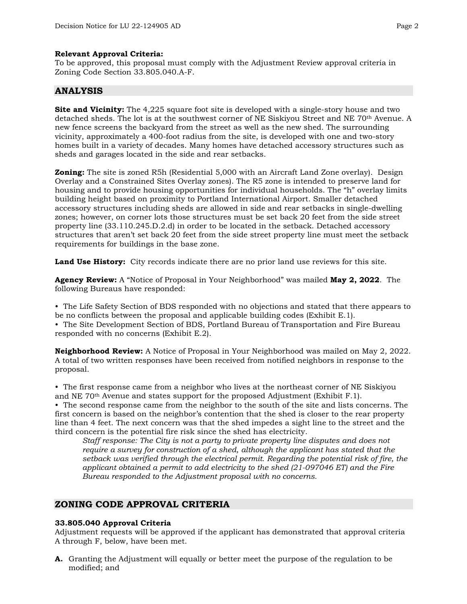#### **Relevant Approval Criteria:**

To be approved, this proposal must comply with the Adjustment Review approval criteria in Zoning Code Section 33.805.040.A-F.

## **ANALYSIS**

**Site and Vicinity:** The 4,225 square foot site is developed with a single-story house and two detached sheds. The lot is at the southwest corner of NE Siskiyou Street and NE 70th Avenue. A new fence screens the backyard from the street as well as the new shed. The surrounding vicinity, approximately a 400-foot radius from the site, is developed with one and two-story homes built in a variety of decades. Many homes have detached accessory structures such as sheds and garages located in the side and rear setbacks.

**Zoning:** The site is zoned R5h (Residential 5,000 with an Aircraft Land Zone overlay). Design Overlay and a Constrained Sites Overlay zones). The R5 zone is intended to preserve land for housing and to provide housing opportunities for individual households. The "h" overlay limits building height based on proximity to Portland International Airport. Smaller detached accessory structures including sheds are allowed in side and rear setbacks in single-dwelling zones; however, on corner lots those structures must be set back 20 feet from the side street property line (33.110.245.D.2.d) in order to be located in the setback. Detached accessory structures that aren't set back 20 feet from the side street property line must meet the setback requirements for buildings in the base zone.

**Land Use History:** City records indicate there are no prior land use reviews for this site.

**Agency Review:** A "Notice of Proposal in Your Neighborhood" was mailed **May 2, 2022**. The following Bureaus have responded:

• The Life Safety Section of BDS responded with no objections and stated that there appears to be no conflicts between the proposal and applicable building codes (Exhibit E.1). • The Site Development Section of BDS, Portland Bureau of Transportation and Fire Bureau responded with no concerns (Exhibit E.2).

**Neighborhood Review:** A Notice of Proposal in Your Neighborhood was mailed on May 2, 2022. A total of two written responses have been received from notified neighbors in response to the proposal.

• The first response came from a neighbor who lives at the northeast corner of NE Siskiyou and NE  $70<sup>th</sup>$  Avenue and states support for the proposed Adjustment (Exhibit F.1).

• The second response came from the neighbor to the south of the site and lists concerns. The first concern is based on the neighbor's contention that the shed is closer to the rear property line than 4 feet. The next concern was that the shed impedes a sight line to the street and the third concern is the potential fire risk since the shed has electricity.

*Staff response: The City is not a party to private property line disputes and does not require a survey for construction of a shed, although the applicant has stated that the setback was verified through the electrical permit. Regarding the potential risk of fire, the applicant obtained a permit to add electricity to the shed (21-097046 ET) and the Fire Bureau responded to the Adjustment proposal with no concerns.* 

# **ZONING CODE APPROVAL CRITERIA**

## **33.805.040 Approval Criteria**

Adjustment requests will be approved if the applicant has demonstrated that approval criteria A through F, below, have been met.

**A.** Granting the Adjustment will equally or better meet the purpose of the regulation to be modified; and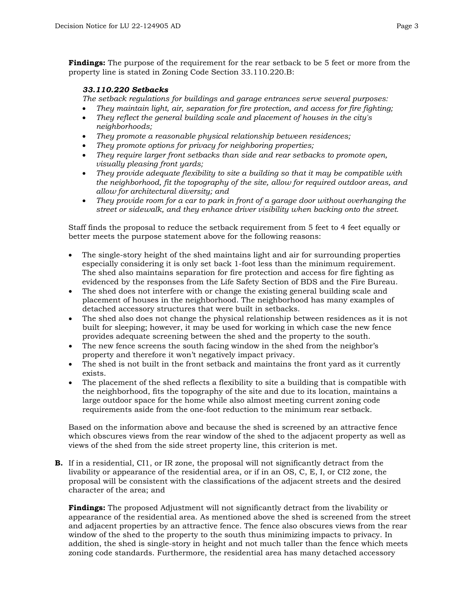**Findings:** The purpose of the requirement for the rear setback to be 5 feet or more from the property line is stated in Zoning Code Section 33.110.220.B:

## *33.110.220 Setbacks*

*The setback regulations for buildings and garage entrances serve several purposes:*

- *They maintain light, air, separation for fire protection, and access for fire fighting;*
- *They reflect the general building scale and placement of houses in the city's neighborhoods;*
- *They promote a reasonable physical relationship between residences;*
- *They promote options for privacy for neighboring properties;*
- *They require larger front setbacks than side and rear setbacks to promote open, visually pleasing front yards;*
- *They provide adequate flexibility to site a building so that it may be compatible with the neighborhood, fit the topography of the site, allow for required outdoor areas, and allow for architectural diversity; and*
- *They provide room for a car to park in front of a garage door without overhanging the street or sidewalk, and they enhance driver visibility when backing onto the street.*

Staff finds the proposal to reduce the setback requirement from 5 feet to 4 feet equally or better meets the purpose statement above for the following reasons:

- The single-story height of the shed maintains light and air for surrounding properties especially considering it is only set back 1-foot less than the minimum requirement. The shed also maintains separation for fire protection and access for fire fighting as evidenced by the responses from the Life Safety Section of BDS and the Fire Bureau.
- The shed does not interfere with or change the existing general building scale and placement of houses in the neighborhood. The neighborhood has many examples of detached accessory structures that were built in setbacks.
- The shed also does not change the physical relationship between residences as it is not built for sleeping; however, it may be used for working in which case the new fence provides adequate screening between the shed and the property to the south.
- The new fence screens the south facing window in the shed from the neighbor's property and therefore it won't negatively impact privacy.
- The shed is not built in the front setback and maintains the front yard as it currently exists.
- The placement of the shed reflects a flexibility to site a building that is compatible with the neighborhood, fits the topography of the site and due to its location, maintains a large outdoor space for the home while also almost meeting current zoning code requirements aside from the one-foot reduction to the minimum rear setback.

Based on the information above and because the shed is screened by an attractive fence which obscures views from the rear window of the shed to the adjacent property as well as views of the shed from the side street property line, this criterion is met.

**B.** If in a residential, CI1, or IR zone, the proposal will not significantly detract from the livability or appearance of the residential area, or if in an OS, C, E, I, or CI2 zone, the proposal will be consistent with the classifications of the adjacent streets and the desired character of the area; and

**Findings:** The proposed Adjustment will not significantly detract from the livability or appearance of the residential area. As mentioned above the shed is screened from the street and adjacent properties by an attractive fence. The fence also obscures views from the rear window of the shed to the property to the south thus minimizing impacts to privacy. In addition, the shed is single-story in height and not much taller than the fence which meets zoning code standards. Furthermore, the residential area has many detached accessory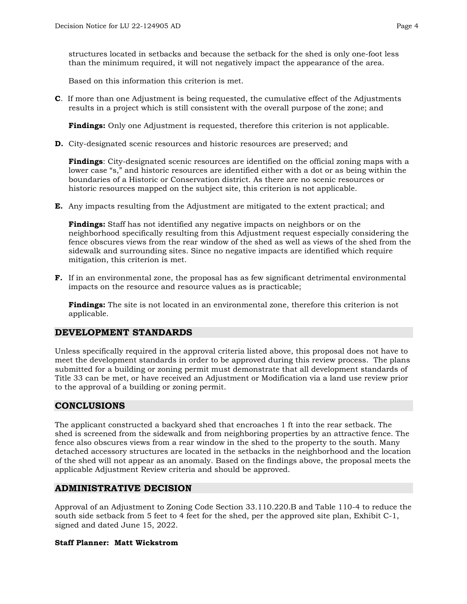structures located in setbacks and because the setback for the shed is only one-foot less than the minimum required, it will not negatively impact the appearance of the area.

Based on this information this criterion is met.

**C**. If more than one Adjustment is being requested, the cumulative effect of the Adjustments results in a project which is still consistent with the overall purpose of the zone; and

**Findings:** Only one Adjustment is requested, therefore this criterion is not applicable.

**D.** City-designated scenic resources and historic resources are preserved; and

**Findings**: City-designated scenic resources are identified on the official zoning maps with a lower case "s," and historic resources are identified either with a dot or as being within the boundaries of a Historic or Conservation district. As there are no scenic resources or historic resources mapped on the subject site, this criterion is not applicable.

**E.** Any impacts resulting from the Adjustment are mitigated to the extent practical; and

**Findings:** Staff has not identified any negative impacts on neighbors or on the neighborhood specifically resulting from this Adjustment request especially considering the fence obscures views from the rear window of the shed as well as views of the shed from the sidewalk and surrounding sites. Since no negative impacts are identified which require mitigation, this criterion is met.

**F.** If in an environmental zone, the proposal has as few significant detrimental environmental impacts on the resource and resource values as is practicable;

**Findings:** The site is not located in an environmental zone, therefore this criterion is not applicable.

## **DEVELOPMENT STANDARDS**

Unless specifically required in the approval criteria listed above, this proposal does not have to meet the development standards in order to be approved during this review process. The plans submitted for a building or zoning permit must demonstrate that all development standards of Title 33 can be met, or have received an Adjustment or Modification via a land use review prior to the approval of a building or zoning permit.

## **CONCLUSIONS**

The applicant constructed a backyard shed that encroaches 1 ft into the rear setback. The shed is screened from the sidewalk and from neighboring properties by an attractive fence. The fence also obscures views from a rear window in the shed to the property to the south. Many detached accessory structures are located in the setbacks in the neighborhood and the location of the shed will not appear as an anomaly. Based on the findings above, the proposal meets the applicable Adjustment Review criteria and should be approved.

## **ADMINISTRATIVE DECISION**

Approval of an Adjustment to Zoning Code Section 33.110.220.B and Table 110-4 to reduce the south side setback from 5 feet to 4 feet for the shed, per the approved site plan, Exhibit C-1, signed and dated June 15, 2022.

## **Staff Planner: Matt Wickstrom**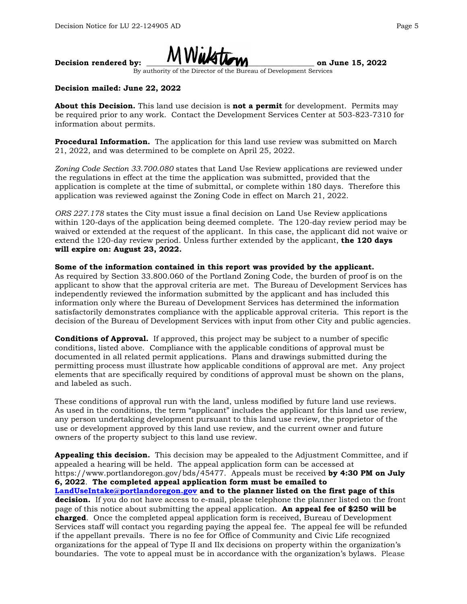

By authority of the Director of the Bureau of Development Services

#### **Decision mailed: June 22, 2022**

**About this Decision.** This land use decision is **not a permit** for development. Permits may be required prior to any work. Contact the Development Services Center at 503-823-7310 for information about permits.

**Procedural Information.** The application for this land use review was submitted on March 21, 2022, and was determined to be complete on April 25, 2022.

*Zoning Code Section 33.700.080* states that Land Use Review applications are reviewed under the regulations in effect at the time the application was submitted, provided that the application is complete at the time of submittal, or complete within 180 days. Therefore this application was reviewed against the Zoning Code in effect on March 21, 2022.

*ORS 227.178* states the City must issue a final decision on Land Use Review applications within 120-days of the application being deemed complete. The 120-day review period may be waived or extended at the request of the applicant. In this case, the applicant did not waive or extend the 120-day review period. Unless further extended by the applicant, **the 120 days will expire on: August 23, 2022.**

**Some of the information contained in this report was provided by the applicant.** As required by Section 33.800.060 of the Portland Zoning Code, the burden of proof is on the applicant to show that the approval criteria are met. The Bureau of Development Services has independently reviewed the information submitted by the applicant and has included this information only where the Bureau of Development Services has determined the information satisfactorily demonstrates compliance with the applicable approval criteria. This report is the decision of the Bureau of Development Services with input from other City and public agencies.

**Conditions of Approval.** If approved, this project may be subject to a number of specific conditions, listed above. Compliance with the applicable conditions of approval must be documented in all related permit applications. Plans and drawings submitted during the permitting process must illustrate how applicable conditions of approval are met. Any project elements that are specifically required by conditions of approval must be shown on the plans, and labeled as such.

These conditions of approval run with the land, unless modified by future land use reviews. As used in the conditions, the term "applicant" includes the applicant for this land use review, any person undertaking development pursuant to this land use review, the proprietor of the use or development approved by this land use review, and the current owner and future owners of the property subject to this land use review.

**Appealing this decision.** This decision may be appealed to the Adjustment Committee, and if appealed a hearing will be held. The appeal application form can be accessed at https://www.portlandoregon.gov/bds/45477. Appeals must be received **by 4:30 PM on July 6, 2022**. **The completed appeal application form must be emailed to [LandUseIntake@portlandoregon.gov](mailto:LandUseIntake@portlandoregon.gov) and to the planner listed on the first page of this decision.** If you do not have access to e-mail, please telephone the planner listed on the front page of this notice about submitting the appeal application. **An appeal fee of \$250 will be charged**. Once the completed appeal application form is received, Bureau of Development Services staff will contact you regarding paying the appeal fee. The appeal fee will be refunded if the appellant prevails. There is no fee for Office of Community and Civic Life recognized organizations for the appeal of Type II and IIx decisions on property within the organization's boundaries. The vote to appeal must be in accordance with the organization's bylaws. Please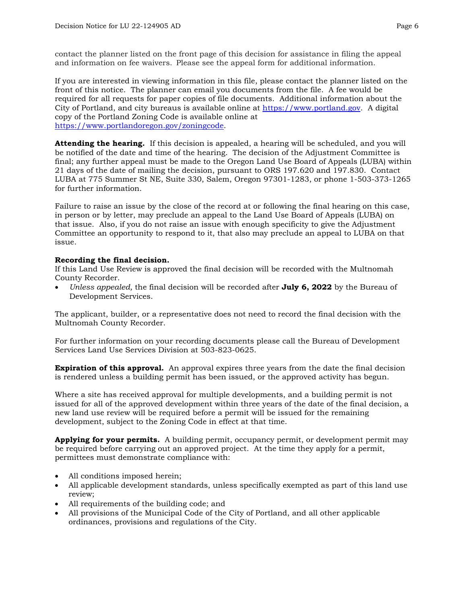contact the planner listed on the front page of this decision for assistance in filing the appeal and information on fee waivers. Please see the appeal form for additional information.

If you are interested in viewing information in this file, please contact the planner listed on the front of this notice. The planner can email you documents from the file. A fee would be required for all requests for paper copies of file documents. Additional information about the City of Portland, and city bureaus is available online at [https://www.portland.gov.](https://www.portland.gov/) A digital copy of the Portland Zoning Code is available online at [https://www.portlandoregon.gov/zoningcode.](https://www.portlandoregon.gov/zoningcode)

**Attending the hearing.** If this decision is appealed, a hearing will be scheduled, and you will be notified of the date and time of the hearing. The decision of the Adjustment Committee is final; any further appeal must be made to the Oregon Land Use Board of Appeals (LUBA) within 21 days of the date of mailing the decision, pursuant to ORS 197.620 and 197.830. Contact LUBA at 775 Summer St NE, Suite 330, Salem, Oregon 97301-1283, or phone 1-503-373-1265 for further information.

Failure to raise an issue by the close of the record at or following the final hearing on this case, in person or by letter, may preclude an appeal to the Land Use Board of Appeals (LUBA) on that issue. Also, if you do not raise an issue with enough specificity to give the Adjustment Committee an opportunity to respond to it, that also may preclude an appeal to LUBA on that issue.

#### **Recording the final decision.**

If this Land Use Review is approved the final decision will be recorded with the Multnomah County Recorder.

• *Unless appealed,* the final decision will be recorded after **July 6, 2022** by the Bureau of Development Services.

The applicant, builder, or a representative does not need to record the final decision with the Multnomah County Recorder.

For further information on your recording documents please call the Bureau of Development Services Land Use Services Division at 503-823-0625.

**Expiration of this approval.** An approval expires three years from the date the final decision is rendered unless a building permit has been issued, or the approved activity has begun.

Where a site has received approval for multiple developments, and a building permit is not issued for all of the approved development within three years of the date of the final decision, a new land use review will be required before a permit will be issued for the remaining development, subject to the Zoning Code in effect at that time.

**Applying for your permits.** A building permit, occupancy permit, or development permit may be required before carrying out an approved project. At the time they apply for a permit, permittees must demonstrate compliance with:

- All conditions imposed herein;
- All applicable development standards, unless specifically exempted as part of this land use review;
- All requirements of the building code; and
- All provisions of the Municipal Code of the City of Portland, and all other applicable ordinances, provisions and regulations of the City.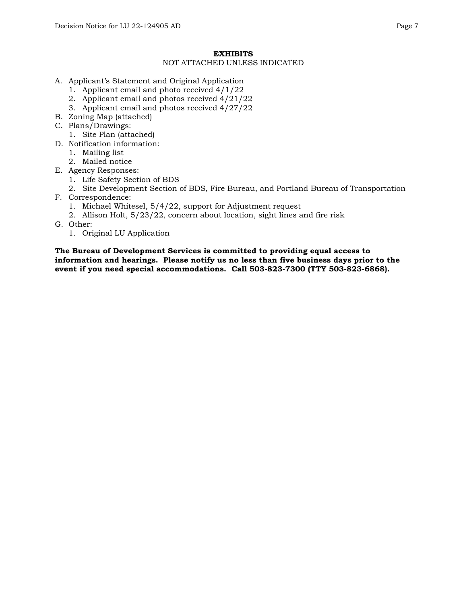#### **EXHIBITS**

#### NOT ATTACHED UNLESS INDICATED

- A. Applicant's Statement and Original Application
	- 1. Applicant email and photo received 4/1/22
	- 2. Applicant email and photos received 4/21/22
	- 3. Applicant email and photos received 4/27/22
- B. Zoning Map (attached)
- C. Plans/Drawings:
	- 1. Site Plan (attached)
- D. Notification information:
	- 1. Mailing list
	- 2. Mailed notice
- E. Agency Responses:
	- 1. Life Safety Section of BDS
	- 2. Site Development Section of BDS, Fire Bureau, and Portland Bureau of Transportation
- F. Correspondence:
	- 1. Michael Whitesel, 5/4/22, support for Adjustment request
	- 2. Allison Holt, 5/23/22, concern about location, sight lines and fire risk
- G. Other:
	- 1. Original LU Application

**The Bureau of Development Services is committed to providing equal access to information and hearings. Please notify us no less than five business days prior to the event if you need special accommodations. Call 503-823-7300 (TTY 503-823-6868).**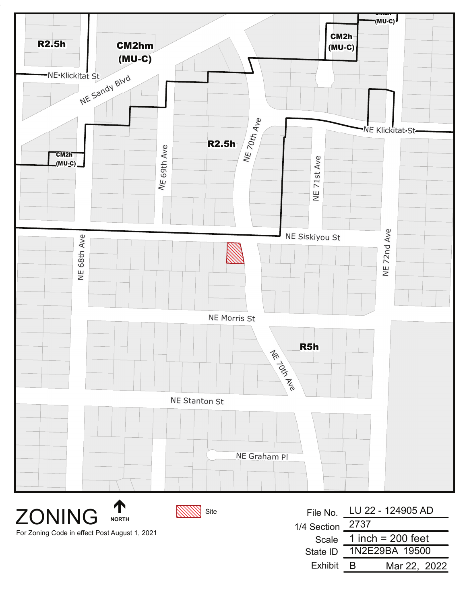

**ZONING** For Zoning Code in effect Post August 1, 2021

**NORTH** 

Site

|                  | File No. LU 22 - 124905 AD |
|------------------|----------------------------|
| 1/4 Section 2737 |                            |
| Scale            | 1 inch = $200$ feet        |
| State ID         | 1N2E29BA 19500             |
| <b>Fxhibit</b>   | Mar 22, 2022<br>в          |
|                  |                            |